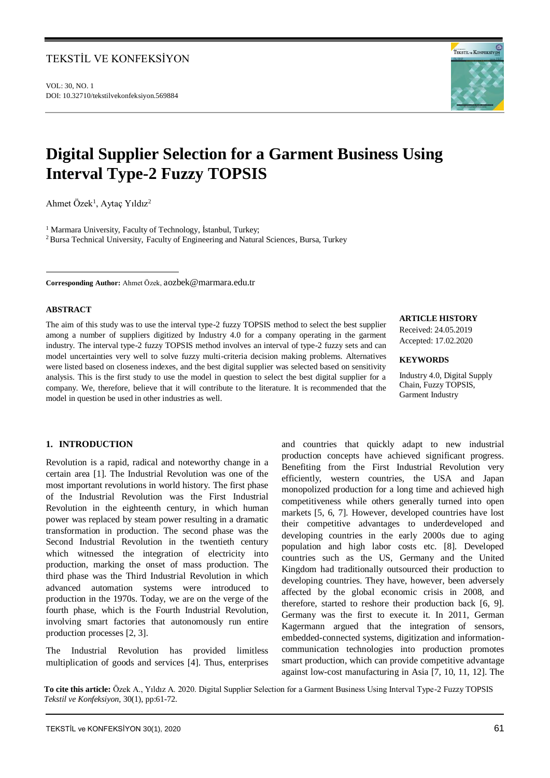# TEKSTİL VE KONFEKSİYON

VOL: 30, NO. 1 DOI: 10.32710/tekstilvekonfeksiyon.569884



# **Digital Supplier Selection for a Garment Business Using Interval Type-2 Fuzzy TOPSIS**

Ahmet Özek<sup>1</sup>, Aytaç Yıldız<sup>2</sup>

<sup>1</sup> Marmara University, Faculty of Technology, İstanbul, Turkey; <sup>2</sup> Bursa Technical University, Faculty of Engineering and Natural Sciences, Bursa, Turkey

**Corresponding Author:** Ahmet Özek, [aozbek@marmara.edu.tr](mailto:aozbek@marmara.edu.tr)

# **ABSTRACT**

 $\overline{a}$ 

The aim of this study was to use the interval type-2 fuzzy TOPSIS method to select the best supplier among a number of suppliers digitized by Industry 4.0 for a company operating in the garment industry. The interval type-2 fuzzy TOPSIS method involves an interval of type-2 fuzzy sets and can model uncertainties very well to solve fuzzy multi-criteria decision making problems. Alternatives were listed based on closeness indexes, and the best digital supplier was selected based on sensitivity analysis. This is the first study to use the model in question to select the best digital supplier for a company. We, therefore, believe that it will contribute to the literature. It is recommended that the model in question be used in other industries as well.

## **ARTICLE HISTORY**

Received: 24.05.2019 Accepted: 17.02.2020

## **KEYWORDS**

Industry 4.0, Digital Supply Chain, Fuzzy TOPSIS, Garment Industry

# **1. INTRODUCTION**

Revolution is a rapid, radical and noteworthy change in a certain area [1]. The Industrial Revolution was one of the most important revolutions in world history. The first phase of the Industrial Revolution was the First Industrial Revolution in the eighteenth century, in which human power was replaced by steam power resulting in a dramatic transformation in production. The second phase was the Second Industrial Revolution in the twentieth century which witnessed the integration of electricity into production, marking the onset of mass production. The third phase was the Third Industrial Revolution in which advanced automation systems were introduced to production in the 1970s. Today, we are on the verge of the fourth phase, which is the Fourth Industrial Revolution, involving smart factories that autonomously run entire production processes [2, 3].

The Industrial Revolution has provided limitless multiplication of goods and services [4]. Thus, enterprises and countries that quickly adapt to new industrial production concepts have achieved significant progress. Benefiting from the First Industrial Revolution very efficiently, western countries, the USA and Japan monopolized production for a long time and achieved high competitiveness while others generally turned into open markets [5, 6, 7]. However, developed countries have lost their competitive advantages to underdeveloped and developing countries in the early 2000s due to aging population and high labor costs etc. [8]. Developed countries such as the US, Germany and the United Kingdom had traditionally outsourced their production to developing countries. They have, however, been adversely affected by the global economic crisis in 2008, and therefore, started to reshore their production back [6, 9]. Germany was the first to execute it. In 2011, German Kagermann argued that the integration of sensors, embedded-connected systems, digitization and informationcommunication technologies into production promotes smart production, which can provide competitive advantage against low-cost manufacturing in Asia [7, 10, 11, 12]. The

**To cite this article:** Özek A., Yıldız A. 2020. Digital Supplier Selection for a Garment Business Using Interval Type-2 Fuzzy TOPSIS *Tekstil ve Konfeksiyon,* 30(1), pp:61-72*.*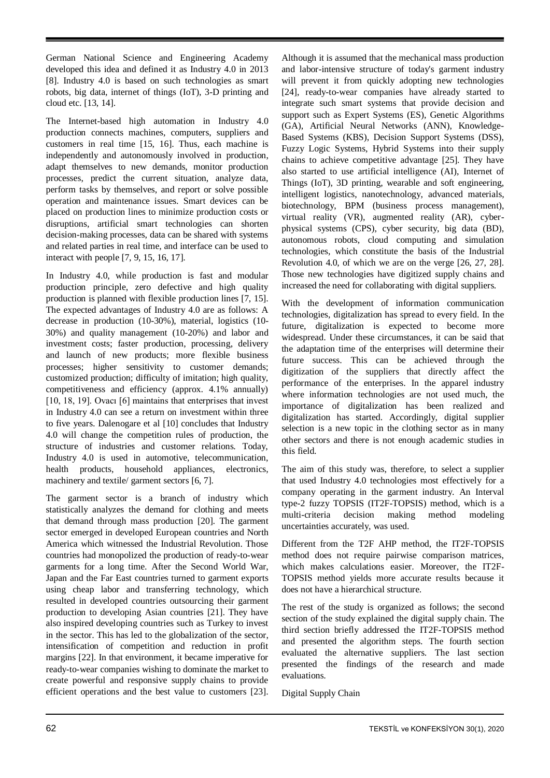German National Science and Engineering Academy developed this idea and defined it as Industry 4.0 in 2013 [8]. Industry 4.0 is based on such technologies as smart robots, big data, internet of things (IoT), 3-D printing and cloud etc. [13, 14].

The Internet-based high automation in Industry 4.0 production connects machines, computers, suppliers and customers in real time [15, 16]. Thus, each machine is independently and autonomously involved in production, adapt themselves to new demands, monitor production processes, predict the current situation, analyze data, perform tasks by themselves, and report or solve possible operation and maintenance issues. Smart devices can be placed on production lines to minimize production costs or disruptions, artificial smart technologies can shorten decision-making processes, data can be shared with systems and related parties in real time, and interface can be used to interact with people [7, 9, 15, 16, 17].

In Industry 4.0, while production is fast and modular production principle, zero defective and high quality production is planned with flexible production lines [7, 15]. The expected advantages of Industry 4.0 are as follows: A decrease in production (10-30%), material, logistics (10- 30%) and quality management (10-20%) and labor and investment costs; faster production, processing, delivery and launch of new products; more flexible business processes; higher sensitivity to customer demands; customized production; difficulty of imitation; high quality, competitiveness and efficiency (approx. 4.1% annually) [10, 18, 19]. Ovacı [6] maintains that enterprises that invest in Industry 4.0 can see a return on investment within three to five years. Dalenogare et al [10] concludes that Industry 4.0 will change the competition rules of production, the structure of industries and customer relations. Today, Industry 4.0 is used in automotive, telecommunication, health products, household appliances, electronics, machinery and textile/ garment sectors [6, 7].

The garment sector is a branch of industry which statistically analyzes the demand for clothing and meets that demand through mass production [20]. The garment sector emerged in developed European countries and North America which witnessed the Industrial Revolution. Those countries had monopolized the production of ready-to-wear garments for a long time. After the Second World War, Japan and the Far East countries turned to garment exports using cheap labor and transferring technology, which resulted in developed countries outsourcing their garment production to developing Asian countries [21]. They have also inspired developing countries such as Turkey to invest in the sector. This has led to the globalization of the sector, intensification of competition and reduction in profit margins [22]. In that environment, it became imperative for ready-to-wear companies wishing to dominate the market to create powerful and responsive supply chains to provide efficient operations and the best value to customers [23].

Although it is assumed that the mechanical mass production and labor-intensive structure of today's garment industry will prevent it from quickly adopting new technologies [24], ready-to-wear companies have already started to integrate such smart systems that provide decision and support such as Expert Systems (ES), Genetic Algorithms (GA), Artificial Neural Networks (ANN), Knowledge-Based Systems (KBS), Decision Support Systems (DSS), Fuzzy Logic Systems, Hybrid Systems into their supply chains to achieve competitive advantage [25]. They have also started to use artificial intelligence (AI), Internet of Things (IoT), 3D printing, wearable and soft engineering, intelligent logistics, nanotechnology, advanced materials, biotechnology, BPM (business process management), virtual reality (VR), augmented reality (AR), cyberphysical systems (CPS), cyber security, big data (BD), autonomous robots, cloud computing and simulation technologies, which constitute the basis of the Industrial Revolution 4.0, of which we are on the verge [26, 27, 28]. Those new technologies have digitized supply chains and increased the need for collaborating with digital suppliers.

With the development of information communication technologies, digitalization has spread to every field. In the future, digitalization is expected to become more widespread. Under these circumstances, it can be said that the adaptation time of the enterprises will determine their future success. This can be achieved through the digitization of the suppliers that directly affect the performance of the enterprises. In the apparel industry where information technologies are not used much, the importance of digitalization has been realized and digitalization has started. Accordingly, digital supplier selection is a new topic in the clothing sector as in many other sectors and there is not enough academic studies in this field.

The aim of this study was, therefore, to select a supplier that used Industry 4.0 technologies most effectively for a company operating in the garment industry. An Interval type-2 fuzzy TOPSIS (IT2F-TOPSIS) method, which is a multi-criteria decision making method modeling uncertainties accurately, was used.

Different from the T2F AHP method, the IT2F-TOPSIS method does not require pairwise comparison matrices, which makes calculations easier. Moreover, the IT2F-TOPSIS method yields more accurate results because it does not have a hierarchical structure.

The rest of the study is organized as follows; the second section of the study explained the digital supply chain. The third section briefly addressed the IT2F-TOPSIS method and presented the algorithm steps. The fourth section evaluated the alternative suppliers. The last section presented the findings of the research and made evaluations.

Digital Supply Chain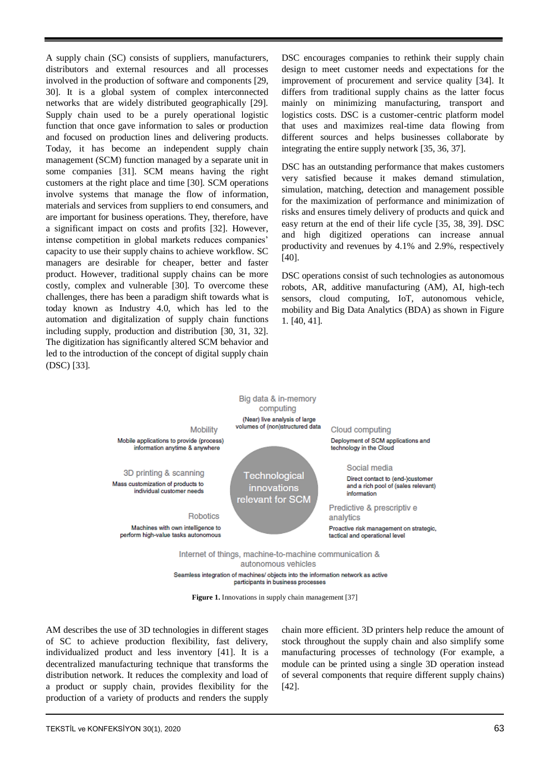A supply chain (SC) consists of suppliers, manufacturers, distributors and external resources and all processes involved in the production of software and components [29, 30]. It is a global system of complex interconnected networks that are widely distributed geographically [29]. Supply chain used to be a purely operational logistic function that once gave information to sales or production and focused on production lines and delivering products. Today, it has become an independent supply chain management (SCM) function managed by a separate unit in some companies [31]. SCM means having the right customers at the right place and time [30]. SCM operations involve systems that manage the flow of information, materials and services from suppliers to end consumers, and are important for business operations. They, therefore, have a significant impact on costs and profits [32]. However, intense competition in global markets reduces companies' capacity to use their supply chains to achieve workflow. SC managers are desirable for cheaper, better and faster product. However, traditional supply chains can be more costly, complex and vulnerable [30]. To overcome these challenges, there has been a paradigm shift towards what is today known as Industry 4.0, which has led to the automation and digitalization of supply chain functions including supply, production and distribution [30, 31, 32]. The digitization has significantly altered SCM behavior and led to the introduction of the concept of digital supply chain (DSC) [33].

DSC encourages companies to rethink their supply chain design to meet customer needs and expectations for the improvement of procurement and service quality [34]. It differs from traditional supply chains as the latter focus mainly on minimizing manufacturing, transport and logistics costs. DSC is a customer-centric platform model that uses and maximizes real-time data flowing from different sources and helps businesses collaborate by integrating the entire supply network [35, 36, 37].

DSC has an outstanding performance that makes customers very satisfied because it makes demand stimulation, simulation, matching, detection and management possible for the maximization of performance and minimization of risks and ensures timely delivery of products and quick and easy return at the end of their life cycle [35, 38, 39]. DSC and high digitized operations can increase annual productivity and revenues by 4.1% and 2.9%, respectively [40].

DSC operations consist of such technologies as autonomous robots, AR, additive manufacturing (AM), AI, high-tech sensors, cloud computing, IoT, autonomous vehicle, mobility and Big Data Analytics (BDA) as shown in Figure 1. [40, 41].



Seamless integration of machines/ objects into the information network as active participants in business processes

**Figure 1.** Innovations in supply chain management [37]

AM describes the use of 3D technologies in different stages of SC to achieve production flexibility, fast delivery, individualized product and less inventory [41]. It is a decentralized manufacturing technique that transforms the distribution network. It reduces the complexity and load of a product or supply chain, provides flexibility for the production of a variety of products and renders the supply chain more efficient. 3D printers help reduce the amount of stock throughout the supply chain and also simplify some manufacturing processes of technology (For example, a module can be printed using a single 3D operation instead of several components that require different supply chains) [42].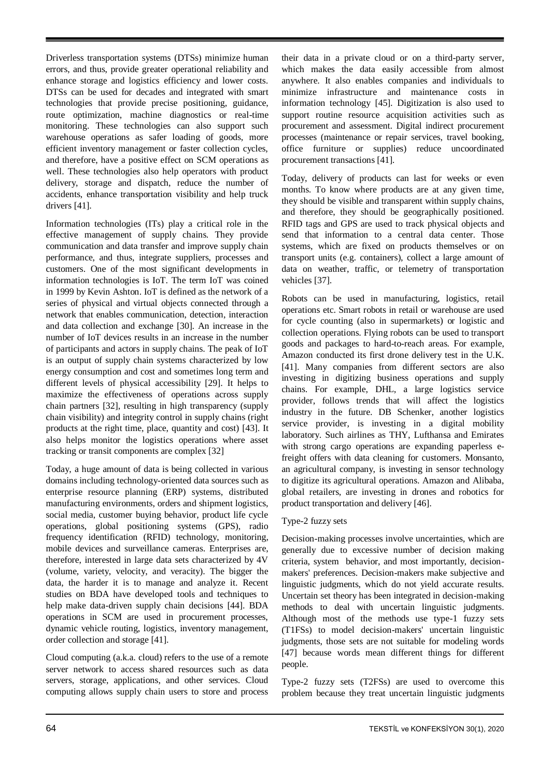Driverless transportation systems (DTSs) minimize human errors, and thus, provide greater operational reliability and enhance storage and logistics efficiency and lower costs. DTSs can be used for decades and integrated with smart technologies that provide precise positioning, guidance, route optimization, machine diagnostics or real-time monitoring. These technologies can also support such warehouse operations as safer loading of goods, more efficient inventory management or faster collection cycles, and therefore, have a positive effect on SCM operations as well. These technologies also help operators with product delivery, storage and dispatch, reduce the number of accidents, enhance transportation visibility and help truck drivers [41].

Information technologies (ITs) play a critical role in the effective management of supply chains. They provide communication and data transfer and improve supply chain performance, and thus, integrate suppliers, processes and customers. One of the most significant developments in information technologies is IoT. The term IoT was coined in 1999 by Kevin Ashton. IoT is defined as the network of a series of physical and virtual objects connected through a network that enables communication, detection, interaction and data collection and exchange [30]. An increase in the number of IoT devices results in an increase in the number of participants and actors in supply chains. The peak of IoT is an output of supply chain systems characterized by low energy consumption and cost and sometimes long term and different levels of physical accessibility [29]. It helps to maximize the effectiveness of operations across supply chain partners [32], resulting in high transparency (supply chain visibility) and integrity control in supply chains (right products at the right time, place, quantity and cost) [43]. It also helps monitor the logistics operations where asset tracking or transit components are complex [32]

Today, a huge amount of data is being collected in various domains including technology-oriented data sources such as enterprise resource planning (ERP) systems, distributed manufacturing environments, orders and shipment logistics, social media, customer buying behavior, product life cycle operations, global positioning systems (GPS), radio frequency identification (RFID) technology, monitoring, mobile devices and surveillance cameras. Enterprises are, therefore, interested in large data sets characterized by 4V (volume, variety, velocity, and veracity). The bigger the data, the harder it is to manage and analyze it. Recent studies on BDA have developed tools and techniques to help make data-driven supply chain decisions [44]. BDA operations in SCM are used in procurement processes, dynamic vehicle routing, logistics, inventory management, order collection and storage [41].

Cloud computing (a.k.a. cloud) refers to the use of a remote server network to access shared resources such as data servers, storage, applications, and other services. Cloud computing allows supply chain users to store and process their data in a private cloud or on a third-party server, which makes the data easily accessible from almost anywhere. It also enables companies and individuals to minimize infrastructure and maintenance costs in information technology [45]. Digitization is also used to support routine resource acquisition activities such as procurement and assessment. Digital indirect procurement processes (maintenance or repair services, travel booking, office furniture or supplies) reduce uncoordinated procurement transactions [41].

Today, delivery of products can last for weeks or even months. To know where products are at any given time, they should be visible and transparent within supply chains, and therefore, they should be geographically positioned. RFID tags and GPS are used to track physical objects and send that information to a central data center. Those systems, which are fixed on products themselves or on transport units (e.g. containers), collect a large amount of data on weather, traffic, or telemetry of transportation vehicles [37].

Robots can be used in manufacturing, logistics, retail operations etc. Smart robots in retail or warehouse are used for cycle counting (also in supermarkets) or logistic and collection operations. Flying robots can be used to transport goods and packages to hard-to-reach areas. For example, Amazon conducted its first drone delivery test in the U.K. [41]. Many companies from different sectors are also investing in digitizing business operations and supply chains. For example, DHL, a large logistics service provider, follows trends that will affect the logistics industry in the future. DB Schenker, another logistics service provider, is investing in a digital mobility laboratory. Such airlines as THY, Lufthansa and Emirates with strong cargo operations are expanding paperless efreight offers with data cleaning for customers. Monsanto, an agricultural company, is investing in sensor technology to digitize its agricultural operations. Amazon and Alibaba, global retailers, are investing in drones and robotics for product transportation and delivery [46].

# Type-2 fuzzy sets

Decision-making processes involve uncertainties, which are generally due to excessive number of decision making criteria, system behavior, and most importantly, decisionmakers' preferences. Decision-makers make subjective and linguistic judgments, which do not yield accurate results. Uncertain set theory has been integrated in decision-making methods to deal with uncertain linguistic judgments. Although most of the methods use type-1 fuzzy sets (T1FSs) to model decision-makers' uncertain linguistic judgments, those sets are not suitable for modeling words [47] because words mean different things for different people.

Type-2 fuzzy sets (T2FSs) are used to overcome this problem because they treat uncertain linguistic judgments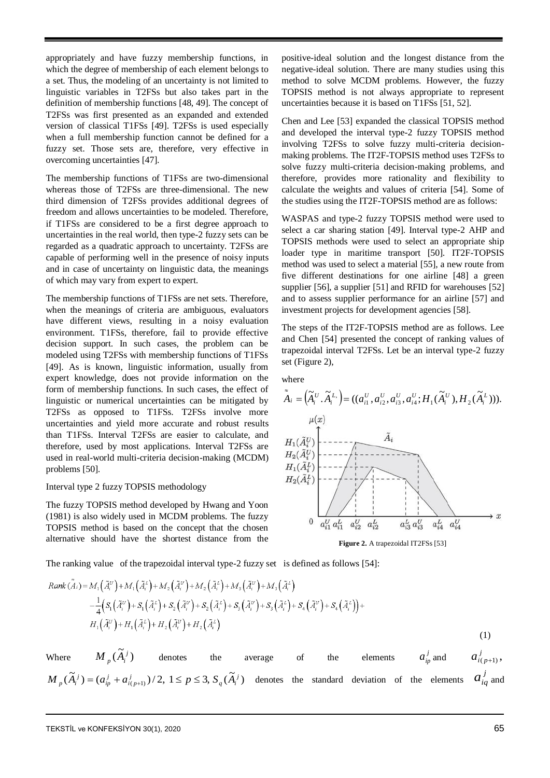appropriately and have fuzzy membership functions, in which the degree of membership of each element belongs to a set. Thus, the modeling of an uncertainty is not limited to linguistic variables in T2FSs but also takes part in the definition of membership functions [48, 49]. The concept of T2FSs was first presented as an expanded and extended version of classical T1FSs [49]. T2FSs is used especially when a full membership function cannot be defined for a fuzzy set. Those sets are, therefore, very effective in overcoming uncertainties [47].

The membership functions of T1FSs are two-dimensional whereas those of T2FSs are three-dimensional. The new third dimension of T2FSs provides additional degrees of freedom and allows uncertainties to be modeled. Therefore, if T1FSs are considered to be a first degree approach to uncertainties in the real world, then type-2 fuzzy sets can be regarded as a quadratic approach to uncertainty. T2FSs are capable of performing well in the presence of noisy inputs and in case of uncertainty on linguistic data, the meanings of which may vary from expert to expert.

The membership functions of T1FSs are net sets. Therefore, when the meanings of criteria are ambiguous, evaluators have different views, resulting in a noisy evaluation environment. T1FSs, therefore, fail to provide effective decision support. In such cases, the problem can be modeled using T2FSs with membership functions of T1FSs [49]. As is known, linguistic information, usually from expert knowledge, does not provide information on the form of membership functions. In such cases, the effect of linguistic or numerical uncertainties can be mitigated by T2FSs as opposed to T1FSs. T2FSs involve more uncertainties and yield more accurate and robust results than T1FSs. Interval T2FSs are easier to calculate, and therefore, used by most applications. Interval T2FSs are used in real-world multi-criteria decision-making (MCDM) problems [50].

## Interval type 2 fuzzy TOPSIS methodology

The fuzzy TOPSIS method developed by Hwang and Yoon (1981) is also widely used in MCDM problems. The fuzzy TOPSIS method is based on the concept that the chosen alternative should have the shortest distance from the positive-ideal solution and the longest distance from the negative-ideal solution. There are many studies using this method to solve MCDM problems. However, the fuzzy TOPSIS method is not always appropriate to represent uncertainties because it is based on T1FSs [51, 52].

Chen and Lee [53] expanded the classical TOPSIS method and developed the interval type-2 fuzzy TOPSIS method involving T2FSs to solve fuzzy multi-criteria decisionmaking problems. The IT2F-TOPSIS method uses T2FSs to solve fuzzy multi-criteria decision-making problems, and therefore, provides more rationality and flexibility to calculate the weights and values of criteria [54]. Some of the studies using the IT2F-TOPSIS method are as follows:

WASPAS and type-2 fuzzy TOPSIS method were used to select a car sharing station [49]. Interval type-2 AHP and TOPSIS methods were used to select an appropriate ship loader type in maritime transport [50]. IT2F-TOPSIS method was used to select a material [55], a new route from five different destinations for one airline [48] a green supplier [56], a supplier [51] and RFID for warehouses [52] and to assess supplier performance for an airline [57] and investment projects for development agencies [58].

The steps of the IT2F-TOPSIS method are as follows. Lee and Chen [54] presented the concept of ranking values of trapezoidal interval T2FSs. Let be an interval type-2 fuzzy set (Figure 2),

where

$$
\tilde{A}_{i} = (\tilde{A}_{i}^{U} \cdot \tilde{A}_{i}^{L}) = ((a_{i1}^{U}, a_{i2}^{U}, a_{i3}^{U}, a_{i4}^{U}; H_{1}(\tilde{A}_{i}^{U}), H_{2}(\tilde{A}_{i}^{L})))
$$
\n
$$
H_{1}(\tilde{A}_{i}^{U})
$$
\n
$$
H_{2}(\tilde{A}_{i}^{U})
$$
\n
$$
H_{1}(\tilde{A}_{i}^{L})
$$
\n
$$
H_{2}(\tilde{A}_{i}^{L})
$$
\n
$$
H_{2}(\tilde{A}_{i}^{L})
$$
\n
$$
H_{2}(\tilde{A}_{i}^{L})
$$
\n
$$
H_{2}(\tilde{A}_{i}^{L})
$$
\n
$$
H_{2}(\tilde{A}_{i}^{L})
$$
\n
$$
H_{2}(\tilde{A}_{i}^{L})
$$
\n
$$
H_{2}(\tilde{A}_{i}^{L})
$$
\n
$$
H_{2}(\tilde{A}_{i}^{L})
$$
\n
$$
H_{2}(\tilde{A}_{i}^{L})
$$
\n
$$
H_{2}(\tilde{A}_{i}^{L})
$$
\n
$$
H_{2}(\tilde{A}_{i}^{L})
$$
\n
$$
H_{2}(\tilde{A}_{i}^{L})
$$
\n
$$
H_{2}(\tilde{A}_{i}^{L})
$$
\n
$$
H_{2}(\tilde{A}_{i}^{L})
$$
\n
$$
H_{2}(\tilde{A}_{i}^{L})
$$
\n
$$
H_{2}(\tilde{A}_{i}^{L})
$$
\n
$$
H_{2}(\tilde{A}_{i}^{L})
$$
\n
$$
H_{2}(\tilde{A}_{i}^{L})
$$
\n
$$
H_{2}(\tilde{A}_{i}^{L})
$$
\n
$$
H_{2}(\tilde{A}_{i}^{L})
$$
\n
$$
H_{2}(\tilde{A}_{i}^{L})
$$
\n
$$
H_{2}(\tilde{A}_{i}^{L})
$$
\n
$$
H_{2}(\tilde{A}_{i}^{L})
$$
\n
$$
H_{
$$

**Figure 2.** A trapezoidal IT2FSs [53]

The ranking value of the trapezoidal interval type-2 fuzzy set is defined as follows [54]:

Rank 
$$
(A_i) = M_1(\tilde{A}_i^U) + M_1(\tilde{A}_i^L) + M_2(\tilde{A}_i^U) + M_2(\tilde{A}_i^U) + M_3(\tilde{A}_i^U) + M_3(\tilde{A}_i^U)
$$
  
\n
$$
- \frac{1}{4}(S_1(\tilde{A}_i^U) + S_1(\tilde{A}_i^L) + S_2(\tilde{A}_i^U) + S_2(\tilde{A}_i^U) + S_3(\tilde{A}_i^U) + S_3(\tilde{A}_i^U) + S_4(\tilde{A}_i^U) + S_4(\tilde{A}_i^U) + S_4(\tilde{A}_i^U) + H_1(\tilde{A}_i^U) + H_2(\tilde{A}_i^U) + H_2(\tilde{A}_i^U)
$$
\n(1)

Where  $M_p(\widetilde{A}_i^j)$  denotes the average of the elements  $a_{ip}^j$  and  $(p+1)$  $a_{i(p+1)}^j$  $M_p(\tilde{A}_i^j) = (a_{ip}^j + a_{i(p+1)}^j)/2$ ,  $1 \le p \le 3$ ,  $S_q(\tilde{A}_i^j)$  denotes the standard deviation of the elements  $a_{iq}^j$  and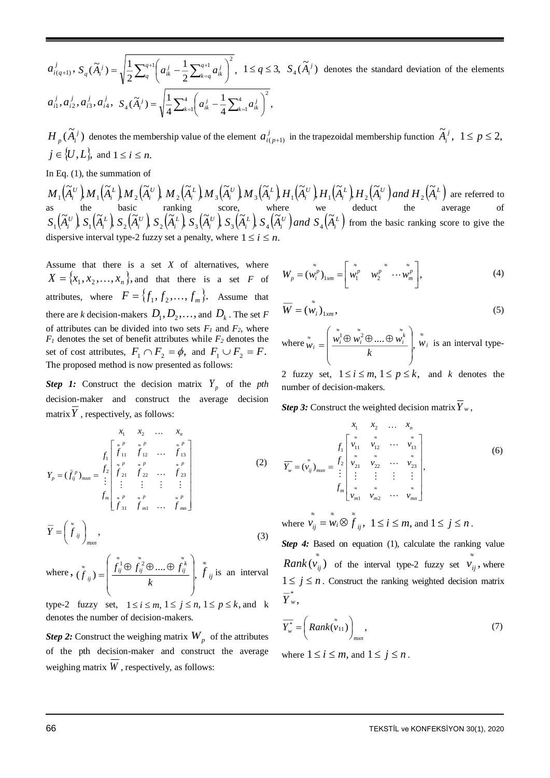$(q+1)$ ,  $a^{j}_{i(q+1)}, \, S_{q}(\widetilde{A}^{~j}_{i}) = \sqrt{\frac{1}{2}\sum_{q}^{q+1}}\bigg(\,a^{~j}_{ik} - \frac{1}{2}\sum_{k=q}^{q+1}a^{~j}_{ik}\,\bigg) \;\;,$ 1 2  $(\widetilde{A}_{i}^{j})=\sqrt{\frac{1}{2}}$  $\sum_{a}^{q+1} \left( a_{ik}^{j} - \frac{1}{2} \sum_{k=a}^{q+1} a_{ik}^{j} \right)^2$  $=q^{i k}$  $\left(a_{ik}^{j} - \frac{1}{2} \sum_{j}^{q+1} a_{ik}^{j}\right)$ l  $=\sqrt{\frac{1}{2}\sum_{i=1}^{q+1}(a_i^j-1)}$ *q q k q*  $S_q(\widetilde{A}_i^j) = \sqrt{\frac{1}{2} \sum_{a=1}^{q+1} a_{ik}^j - \frac{1}{2} \sum_{k=a}^{q+1} a_{ik}^j}$ ,  $1 \le q \le 3$ ,  $S_4(\widetilde{A}_i^j)$  denotes the standard deviation of the elements  $a_{i1}^{\,j},a_{i2}^{\,j},a_{i3}^{\,j},a_{i4}^{\,j},\,\, S_{\scriptscriptstyle 4}(\widetilde{A}_{i}^{\,j})=\sqrt{\frac{1}{4}\sum_{k=1}^{4}\!\!\left(a_{ik}^{\,j}-\frac{1}{4}\sum_{k=1}^{4}\!a_{ik}^{\,j}\right)}\,\,,$ 1 4  $(\widetilde{A}_{i}^{j})=\sqrt{\frac{1}{n}}$ 4  $($   $1\sqrt{4}$   $)^2$ 1 4  $\mathcal{A}_{4}(\widetilde{A}_{i}^{j}) = \sqrt{\frac{1}{4}\sum_{k=1}^{4} \left( a_{ik}^{j} - \frac{1}{4}\sum_{k=1}^{4} a_{ik}^{j} \right)}$  $\left(a_{ik}^j - \frac{1}{2} \sum_{k=1}^4 a_{ik}^j\right)$ l  $k = \sqrt{\frac{1}{4} \sum_{k=1}^{4} \left( a_{ik}^{j} - \frac{1}{4} \sum_{k=1}^{4} a_{ik}^{j} \right)}$  $S_4(\tilde{A}_i^j) = \sqrt{\frac{1}{4} \sum_{k=1}^4 |a_{ik}^j - \frac{1}{4} \sum_{k=1}^4 a_{ik}^j}$ 

 $H_p(\tilde{A}_i^j)$  denotes the membership value of the element  $a_{i(p+1)}^j$  in the trapezoidal membership function  $\tilde{A}_i^j$ ,  $1 \leq p \leq 2$ ,  $j \in \{U, L\}$ , and  $1 \le i \le n$ .

In Eq. (1), the summation of

 $\left(\widetilde{A}_i^{\ \nu}\right)$   $M_1\left(\widetilde{A}_i^{\ \ L}\right)$   $M_2\left(\widetilde{A}_i^{\ \nu}\right)$   $M_3\left(\widetilde{A}_i^{\ \nu}\right)$   $M_3\left(\widetilde{A}_i^{\ \nu}\right)$   $H_1\left(\widetilde{A}_i^{\ \nu}\right)$   $H_1\left(\widetilde{A}_i^{\ \ L}\right)$   $H_2\left(\widetilde{A}_i^{\ \nu}\right)$  and  $H_2\left(\widetilde{A}_i^{\ \ L}\right)$ *i U i L i U i L i U i L i U i L*  $M_{1}(\widetilde{A}_{i}^{U})$   $M_{1}(\widetilde{A}_{i}^{L})$   $M_{2}(\widetilde{A}_{i}^{U})$   $M_{2}(\widetilde{A}_{i}^{L})$   $M_{3}(\widetilde{A}_{i}^{U})$   $M_{3}(\widetilde{A}_{i}^{L})$   $H_{1}(\widetilde{A}_{i}^{U})$   $H_{1}(\widetilde{A}_{i}^{L})$   $H_{2}(\widetilde{A}_{i}^{U})$  and  $H_{2}(\widetilde{A}_{i}^{U})$ ,  $, H, (\widetilde{A})$  $, H, (\widetilde{A})$  $,M$   $_{3}$   $(\widetilde{A})$  $,M$   $_{3}$   $(\widetilde{A},$  $, M, (\widetilde{A})$  $,M,(\widetilde{A},% \widetilde{A},% \widetilde{A},% \widetilde{A},% \widetilde{A},% \widetilde{A},% \widetilde{A},% \widetilde{A},% \widetilde{A},% \widetilde{A},% \widetilde{A},% \widetilde{A},% \widetilde{A},% \widetilde{A},% \widetilde{A},% \widetilde{A},% \widetilde{A},% \widetilde{A},% \widetilde{A},% \widetilde{A},% \widetilde{A},% \widetilde{A},% \widetilde{A},% \widetilde{A},% \widetilde{A},% \widetilde{A},% \widetilde{A},% \wid$  $, M_{\scriptscriptstyle +}$   $(\widetilde{A},$  $\{(\widetilde{A}^{\scriptscriptstyle U}_{i})_{i}\}_{M_{1}}\! (\widetilde{A}^{\scriptscriptstyle L}_{i})_{i}\}_{M_{2}}\! (\widetilde{A}^{\scriptscriptstyle U}_{i})_{i}\}_{M_{3}}\! (\widetilde{A}^{\scriptscriptstyle U}_{i})_{i}\}_{M_{3}}\! (\widetilde{A}^{\scriptscriptstyle L}_{i})_{i}\}_{H_{1}}\! (\widetilde{A}^{\scriptscriptstyle U}_{i})_{i}\}_{H_{1}}\! (\widetilde{A}^{\scriptscriptstyle L}_{i})_{i}\}_{H_{2}}\! (\widetilde{A}^{\scriptscriptstyle U}_{i})_{i}\}_{i}\_{M_{3}}\! H_{1}\! (\wid$ as the basic ranking score, where we deduct the average of  $(\widetilde{A}_i^{\scriptscriptstyle U})$ ,  $S_1(\widetilde{A}_i^{\scriptscriptstyle L})$ ,  $S_2(\widetilde{A}_i^{\scriptscriptstyle U})$ ,  $S_2(\widetilde{A}_i^{\scriptscriptstyle L})$ ,  $S_3(\widetilde{A}_i^{\scriptscriptstyle U})$ ,  $S_3(\widetilde{A}_i^{\scriptscriptstyle L})$ ,  $S_4(\widetilde{A}_i^{\scriptscriptstyle U})$  and  $S_4(\widetilde{A}_i^{\scriptscriptstyle L})$ *i U i L i U i L i U i L i*  $S_1(\widetilde{A}_i^{\ U})$ ,  $S_1(\widetilde{A}_i^{\ L})$ ,  $S_2(\widetilde{A}_i^{\ U})$ ,  $S_2(\widetilde{A}_i^{\ L})$ ,  $S_3(\widetilde{A}_i^{\ U})$ ,  $S_3(\widetilde{A}_i^{\ L})$ ,  $S_4(\widetilde{A}_i^{\ U})$  and  $S_4(\widetilde{A}_i^{\ U})$ ,  $, S_{3}(\widetilde{A},$  $, S_{3}(\widetilde{A})$  $, S, (\widetilde{A},$  $, S, (\widetilde{A},$  $, S, (\widetilde{A},$  $\{(\widetilde{A}_i^U), S_1(\widetilde{A}_i^L), S_2(\widetilde{A}_i^U), S_3(\widetilde{A}_i^U), S_3(\widetilde{A}_i^L), S_4(\widetilde{A}_i^U) \text{ and } S_4(\widetilde{A}_i^L) \text{ from the basic ranking score to give the } \}$ dispersive interval type-2 fuzzy set a penalty, where  $1 \le i \le n$ .

Assume that there is a set *X* of alternatives, where  $X = \{x_1, x_2, \dots, x_n\}$ , and that there is a set *F* of attributes, where  $F = \{f_1, f_2, \ldots, f_m\}$ . Assume that there are *k* decision-makers  $D_1, D_2, \ldots$ , and  $D_k$ . The set *F* of attributes can be divided into two sets  $F_I$  and  $F_2$ , where  $F_1$  denotes the set of benefit attributes while  $F_2$  denotes the set of cost attributes,  $F_1 \cap F_2 = \phi$ , and  $F_1 \cup F_2 = F$ . The proposed method is now presented as follows:

*Step 1:* Construct the decision matrix  $Y_p$  of the *pth* decision-maker and construct the average decision matrix *Y* , respectively, as follows:

$$
Y_{p} = (\tilde{f}_{ij}^{p})_{max} = \begin{cases} \sum_{i=1}^{n} \begin{bmatrix} x^{p} & x^{p} & x^{p} \\ f_{11} & f_{12} & \cdots & f_{13} \\ x^{p} & x^{p} & x^{p} \\ f_{21} & f_{22} & \cdots & f_{23} \\ \vdots & \vdots & \vdots & \vdots \\ f_{m} & x^{p} & x^{p} & x^{p} \\ f_{31} & f_{m1} & \cdots & f_{mn} \end{bmatrix} \end{cases}
$$
 (2)

$$
\overline{Y} = \left(f_{ij}\right)_{m \times n},\tag{3}
$$

where,  $(f_{ii}) = \frac{\int_{ij} \psi_j f_{ij} \psi_j \dots \psi_j f_{ij}}{\sum_{i} \psi_i}$  $(f_{ii}) = \frac{f_{ij} \cup f_{ij} \cup ...}{f_{ii}}$  $1 \curvearrowright 2$ I I ١ J ो  $\mathsf{I}$  $\mathbf{r}$  $\mathsf{I}$ l  $=\left(\begin{matrix} \stackrel{\stackrel{\circ}{\sim}}{\sim} & \stackrel{\sim}{\sim} \\ \stackrel{\scriptstyle{0}}{J_{ij}} & \stackrel{\scriptstyle{\sim}}{\sim} & \stackrel{\scriptstyle{\sim}}{\sim} \\ \stackrel{\scriptstyle{0}}{J_{ij}} & \stackrel{\scriptstyle{\sim}}{\sim} & \stackrel{\scriptstyle{\sim}}{\sim} \end{matrix}\right)$  $\approx$   $\approx$   $\approx$   $\approx$ ≈ *k*  $f_{ii}^{\perp} \oplus f_{ii}^{\perp} \oplus .... \oplus f$ *f*  $f_{ij}^1 \oplus f_{ij}^2 \oplus ... \oplus f_{ij}^k$  $f_{ij}^1 = \frac{\int_{ij}^1 \oplus f_{ij}^2 \oplus ....\oplus f_{ij}^k}{\int_{ij}^1}$   $\int_{ij}^{\infty}$  *j* is an interval

type-2 fuzzy set,  $1 \le i \le m$ ,  $1 \le j \le n$ ,  $1 \le p \le k$ , and k denotes the number of decision-makers.

*Step 2:* Construct the weighing matrix  $W_p$  of the attributes of the pth decision-maker and construct the average weighing matrix *W* , respectively, as follows:

$$
W_p = (\tilde{w}_i^p)_{1xm} = \begin{bmatrix} \tilde{w}_1^p & w_2^p & \cdots & \tilde{w}_m^p \\ w_1^p & w_2^p & \cdots & w_m^p \end{bmatrix},
$$
 (4)

$$
\overline{W} = (\tilde{w}_i)_{1xm},\tag{5}
$$

where  $\tilde{w}_i = \left| \frac{w_i^1 \oplus w_i^2 \oplus .... \oplus w_i^k}{\cdot} \right|$  $\overline{\phantom{a}}$  $\mathbf{I}$ Ι  $\lambda$  $\overline{\phantom{a}}$ L  $\overline{\mathcal{L}}$  $=\left(\begin{matrix}\n\tilde{\ddot{\mathbf{w}}_i}\oplus\tilde{\ddot{\mathbf{w}}_i}^2\oplus\ldots\oplus\n\end{matrix}\right)$  $\approx$   $\approx$   $\approx$  $\approx$ *k*  $\begin{aligned} w_i = \left| \frac{w_i^1 \oplus w_i^2 \oplus .... \oplus w_i^2}{w_i} \right| \end{aligned}$  $\mathbf{w}_i = \left[ \frac{w_i^1 \oplus w_i^2 \oplus .... \oplus w_i^k}{w_i} \right], \tilde{\mathbf{w}}_i$  $\tilde{w}_i$  is an interval type-

2 fuzzy set,  $1 \le i \le m$ ,  $1 \le p \le k$ , and *k* denotes the number of decision-makers.

*Step 3:* Construct the weighted decision matrix  $Y_w$ ,

$$
\overline{Y}_{w} = (\tilde{v}_{ij})_{m x n} = \begin{cases} \sum_{i=1}^{N} \begin{bmatrix} x & x & x \\ y_{i1} & y_{i2} & \cdots & y_{i3} \\ x & x & x \\ y_{i2} & y_{i2} & \cdots & y_{i3} \\ y_{i1} & y_{i2} & \cdots & y_{i3} \\ \vdots & \vdots & \vdots & \vdots \\ y_{m1} & y_{m2} & \cdots & y_{mn} \end{bmatrix}, \end{cases}
$$
(6)

where  $\overline{v}_{ij} = \overline{\widetilde{w}}_i \otimes \overline{\widetilde{f}}_{ij}$ ,  $= w_i \otimes f_{ii}, \ 1 \le i \le m$ , and  $1 \le j \le n$ .

*Step 4:* Based on equation (1), calculate the ranking value *Rank*  $(\vec{v}_{ij})$  of the interval type-2 fuzzy set  $\vec{v}_{ij}$ ,  $\sum_{ij}^{\infty}$ , where  $1 \leq j \leq n$ . Construct the ranking weighted decision matrix ,  $\overline{Y}^*_w$ 

$$
\overline{Y_{w}^{*}} = \left(Rank(\tilde{v}_{11})\right)_{msn},
$$
\n(7)

where  $1 \le i \le m$ , and  $1 \le j \le n$ .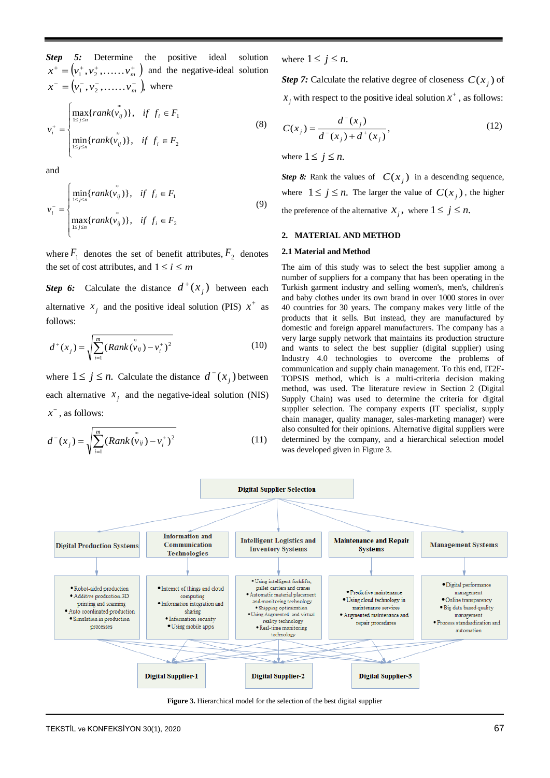*Step 5:* Determine the positive ideal solution  $x^+ = (v_1^+, v_2^+, \dots, v_m^+)$  and the negative-ideal solution  $x^- = (v_1^-, v_2^-, \dots, v_m^-\)$ , where F Ŀ l  $\vert$ ∤ ſ ∊  $\in$  $=$   $\wedge$   $\qquad \qquad z$  $$ ≈  $+$   $|$   $| \le j \le$  $\lim_{j \leq j \leq n} \left( \operatorname{rank}(V_{ij}) \right)$ ,  $\theta$ ,  $j_i \in I_2$  $\lim_{j \leq i \leq n} \{rank(v_{ij})\}, \quad \text{if} \quad J_i \subseteq I_1$  $min\{ rank(v_{ii})\},$  $\max\{rank(v_{ii})\},\$  $rank(v_{ii})\}, \text{ if } f_i \in F$  $rank(v_{ii})\}, \text{ if } f_i \in F$ *v*  $\lim_{j \leq n}$   $\left\{ \text{rank}(v_{ij}) \right\}, \quad \text{if} \quad J_i$  $\lim_{j \leq n}$   $\left\{ \textit{rank}(v_{ij}) \right\}, \quad \textit{if} \quad \textit{if} \quad \textit{if} \quad \textit{if} \quad \textit{if} \quad \textit{if} \quad \textit{if} \quad \textit{if} \quad \textit{if} \quad \textit{if} \quad \textit{if} \quad \textit{if} \quad \textit{if} \quad \textit{if} \quad \textit{if} \quad \textit{if} \quad \textit{if} \quad \textit{if} \quad \textit{if} \quad \textit{if} \quad \textit{if} \quad \textit{if} \quad \textit{if} \quad \textit{$ *i* (8)

and

$$
v_i^- = \begin{cases} \min_{1 \le j \le n} \{rank(v_{ij}^*)\}, & \text{if } f_i \in F_1 \\ \max_{1 \le j \le n} \{rank(v_{ij}^*)\}, & \text{if } f_i \in F_2 \end{cases}
$$
(9)

where  $F_1$  denotes the set of benefit attributes,  $F_2$  denotes the set of cost attributes, and  $1 \le i \le m$ 

**Step 6:** Calculate the distance  $d^+(x_j)$  between each alternative  $x_j$  and the positive ideal solution (PIS)  $x^+$  as follows:

$$
d^+(x_j) = \sqrt{\sum_{i=1}^m (Rank(v_{ij}) - v_i^+)^2}
$$
 (10)

where  $1 \leq j \leq n$ . Calculate the distance  $d^-(x_j)$  between each alternative  $x_j$  and the negative-ideal solution (NIS) *x* , as follows:

$$
d^{-}(x_j) = \sqrt{\sum_{i=1}^{m} (Rank(\tilde{v}_{ij}) - v_i^{+})^2}
$$
 (11)

where  $1 \leq j \leq n$ .

*Step 7:* Calculate the relative degree of closeness  $C(x_j)$  of  $x_j$  with respect to the positive ideal solution  $x^+$ , as follows:

$$
C(x_j) = \frac{d^-(x_j)}{d^-(x_j) + d^+(x_j)},
$$
\n(12)

where  $1 \leq j \leq n$ .

*Step 8:* Rank the values of  $C(x_j)$  in a descending sequence, where  $1 \leq j \leq n$ . The larger the value of  $C(x_j)$ , the higher the preference of the alternative  $x_j$ , where  $1 \le j \le n$ .

#### **2. MATERIAL AND METHOD**

#### **2.1 Material and Method**

The aim of this study was to select the best supplier among a number of suppliers for a company that has been operating in the Turkish garment industry and selling women's, men's, children's and baby clothes under its own brand in over 1000 stores in over 40 countries for 30 years. The company makes very little of the products that it sells. But instead, they are manufactured by domestic and foreign apparel manufacturers. The company has a very large supply network that maintains its production structure and wants to select the best supplier (digital supplier) using Industry 4.0 technologies to overcome the problems of communication and supply chain management. To this end, IT2F-TOPSIS method, which is a multi-criteria decision making method, was used. The literature review in Section 2 (Digital Supply Chain) was used to determine the criteria for digital supplier selection. The company experts (IT specialist, supply chain manager, quality manager, sales-marketing manager) were also consulted for their opinions. Alternative digital suppliers were determined by the company, and a hierarchical selection model was developed given in Figure 3.



**Figure 3.** Hierarchical model for the selection of the best digital supplier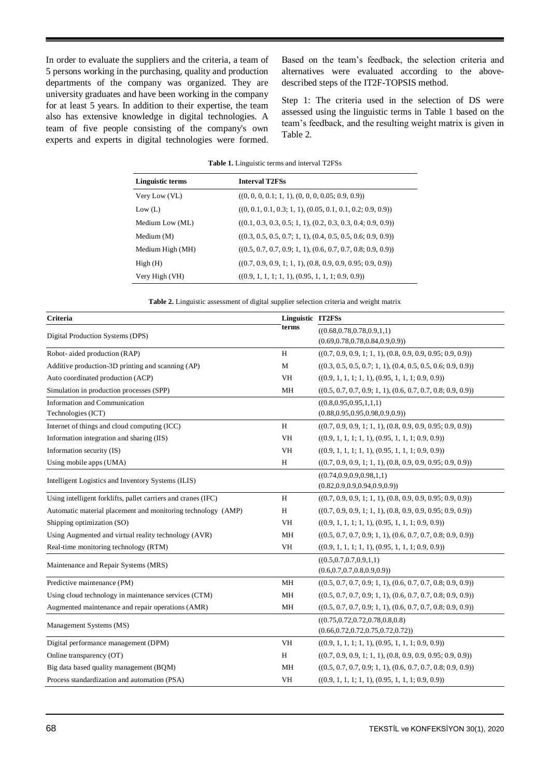In order to evaluate the suppliers and the criteria, a team of 5 persons working in the purchasing, quality and production departments of the company was organized. They are university graduates and have been working in the company for at least 5 years. In addition to their expertise, the team also has extensive knowledge in digital technologies. A team of five people consisting of the company's own experts and experts in digital technologies were formed.

Based on the team's feedback, the selection criteria and alternatives were evaluated according to the abovedescribed steps of the IT2F-TOPSIS method.

Step 1: The criteria used in the selection of DS were assessed using the linguistic terms in Table 1 based on the team's feedback, and the resulting weight matrix is given in Table 2.

|                  | <b>Tuble 1.</b> Employee terms and much an $121.66$            |  |  |  |
|------------------|----------------------------------------------------------------|--|--|--|
| Linguistic terms | <b>Interval T2FSs</b>                                          |  |  |  |
| Very Low (VL)    | $((0, 0, 0, 0.1; 1, 1), (0, 0, 0, 0.05; 0.9, 0.9))$            |  |  |  |
| Low (L)          | $((0, 0.1, 0.1, 0.3; 1, 1), (0.05, 0.1, 0.1, 0.2; 0.9, 0.9))$  |  |  |  |
| Medium Low (ML)  | $((0.1, 0.3, 0.3, 0.5; 1, 1), (0.2, 0.3, 0.3, 0.4; 0.9, 0.9))$ |  |  |  |
| Medium $(M)$     | $((0.3, 0.5, 0.5, 0.7; 1, 1), (0.4, 0.5, 0.5, 0.6; 0.9, 0.9))$ |  |  |  |
| Medium High (MH) | $((0.5, 0.7, 0.7, 0.9; 1, 1), (0.6, 0.7, 0.7, 0.8; 0.9, 0.9))$ |  |  |  |
| High(H)          | $((0.7, 0.9, 0.9, 1; 1, 1), (0.8, 0.9, 0.9, 0.95; 0.9, 0.9))$  |  |  |  |
| Very High (VH)   | $((0.9, 1, 1, 1; 1, 1), (0.95, 1, 1, 1; 0.9, 0.9))$            |  |  |  |

**Table 1.** Linguistic terms and interval T2FSs

**Table 2.** Linguistic assessment of digital supplier selection criteria and weight matrix

| Criteria                                                      | Linguistic IT2FSs |                                                                |
|---------------------------------------------------------------|-------------------|----------------------------------------------------------------|
| Digital Production Systems (DPS)                              | terms             | ((0.68, 0.78, 0.78, 0.9, 1, 1))                                |
|                                                               |                   | $(0.69,\!0.78,\!0.78,\!0.84,\!0.9,\!0.9))$                     |
| Robot-aided production (RAP)                                  | H                 | $((0.7, 0.9, 0.9, 1; 1, 1), (0.8, 0.9, 0.9, 0.95; 0.9, 0.9))$  |
| Additive production-3D printing and scanning (AP)             | M                 | $((0.3, 0.5, 0.5, 0.7; 1, 1), (0.4, 0.5, 0.5, 0.6; 0.9, 0.9))$ |
| Auto coordinated production (ACP)                             | <b>VH</b>         | $((0.9, 1, 1, 1; 1, 1), (0.95, 1, 1, 1; 0.9, 0.9))$            |
| Simulation in production processes (SPP)                      | MH                | $((0.5, 0.7, 0.7, 0.9; 1, 1), (0.6, 0.7, 0.7, 0.8; 0.9, 0.9))$ |
| Information and Communication                                 |                   | ((0.8, 0.95, 0.95, 1, 1, 1))                                   |
| Technologies (ICT)                                            |                   | (0.88, 0.95, 0.95, 0.98, 0.9, 0.9))                            |
| Internet of things and cloud computing (ICC)                  | H                 | $((0.7, 0.9, 0.9, 1; 1, 1), (0.8, 0.9, 0.9, 0.95; 0.9, 0.9))$  |
| Information integration and sharing (IIS)                     | <b>VH</b>         | $((0.9, 1, 1, 1; 1, 1), (0.95, 1, 1, 1; 0.9, 0.9))$            |
| Information security (IS)                                     | VH                | $((0.9, 1, 1, 1, 1, 1), (0.95, 1, 1, 1, 0.9, 0.9))$            |
| Using mobile apps (UMA)                                       | H                 | $((0.7, 0.9, 0.9, 1; 1, 1), (0.8, 0.9, 0.9, 0.95; 0.9, 0.9))$  |
| Intelligent Logistics and Inventory Systems (ILIS)            |                   | ((0.74, 0.9, 0.9, 0.98, 1, 1))                                 |
|                                                               |                   | (0.82, 0.9, 0.9, 0.94, 0.9, 0.9))                              |
| Using intelligent forklifts, pallet carriers and cranes (IFC) | H                 | $((0.7, 0.9, 0.9, 1; 1, 1), (0.8, 0.9, 0.9, 0.95; 0.9, 0.9))$  |
| Automatic material placement and monitoring technology (AMP)  | H                 | $((0.7, 0.9, 0.9, 1; 1, 1), (0.8, 0.9, 0.9, 0.95; 0.9, 0.9))$  |
| Shipping optimization (SO)                                    | <b>VH</b>         | $((0.9, 1, 1, 1, 1, 1), (0.95, 1, 1, 1, 0.9, 0.9))$            |
| Using Augmented and virtual reality technology (AVR)          | MH                | $((0.5, 0.7, 0.7, 0.9; 1, 1), (0.6, 0.7, 0.7, 0.8; 0.9, 0.9))$ |
| Real-time monitoring technology (RTM)                         | VH                | $((0.9, 1, 1, 1; 1, 1), (0.95, 1, 1, 1; 0.9, 0.9))$            |
| Maintenance and Repair Systems (MRS)                          |                   | ((0.5, 0.7, 0.7, 0.9, 1, 1))                                   |
|                                                               |                   | (0.6, 0.7, 0.7, 0.8, 0.9, 0.9)                                 |
| Predictive maintenance (PM)                                   | MH                | $((0.5, 0.7, 0.7, 0.9; 1, 1), (0.6, 0.7, 0.7, 0.8; 0.9, 0.9))$ |
| Using cloud technology in maintenance services (CTM)          | MH                | $((0.5, 0.7, 0.7, 0.9; 1, 1), (0.6, 0.7, 0.7, 0.8; 0.9, 0.9))$ |
| Augmented maintenance and repair operations (AMR)             | MH                | $((0.5, 0.7, 0.7, 0.9; 1, 1), (0.6, 0.7, 0.7, 0.8; 0.9, 0.9))$ |
| Management Systems (MS)                                       |                   | ((0.75, 0.72, 0.72, 0.78, 0.8, 0.8)                            |
|                                                               |                   | (0.66, 0.72, 0.72, 0.75, 0.72, 0.72))                          |
| Digital performance management (DPM)                          | VH                | $((0.9, 1, 1, 1; 1, 1), (0.95, 1, 1, 1; 0.9, 0.9))$            |
| Online transparency (OT)                                      | H                 | $((0.7, 0.9, 0.9, 1; 1, 1), (0.8, 0.9, 0.9, 0.95; 0.9, 0.9))$  |
| Big data based quality management (BQM)                       | MН                | $((0.5, 0.7, 0.7, 0.9; 1, 1), (0.6, 0.7, 0.7, 0.8; 0.9, 0.9))$ |
| Process standardization and automation (PSA)                  | <b>VH</b>         | $((0.9, 1, 1, 1; 1, 1), (0.95, 1, 1, 1; 0.9, 0.9))$            |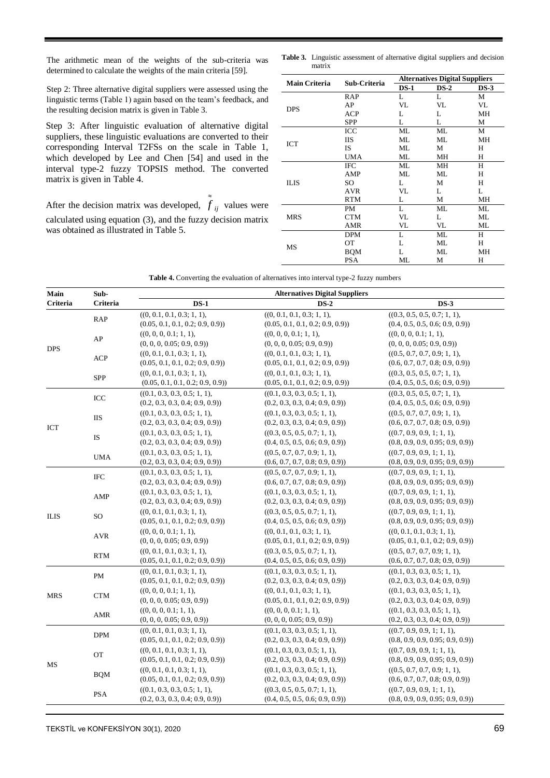The arithmetic mean of the weights of the sub-criteria was determined to calculate the weights of the main criteria [59].

Step 2: Three alternative digital suppliers were assessed using the linguistic terms (Table 1) again based on the team's feedback, and the resulting decision matrix is given in Table 3.

Step 3: After linguistic evaluation of alternative digital suppliers, these linguistic evaluations are converted to their corresponding Interval T2FSs on the scale in Table 1, which developed by Lee and Chen [54] and used in the interval type-2 fuzzy TOPSIS method. The converted matrix is given in Table 4.

After the decision matrix was developed,  $f_{ij}$  values were calculated using equation (3), and the fuzzy decision matrix was obtained as illustrated in Table 5.

≈

**Table 3.** Linguistic assessment of alternative digital suppliers and decision matrix

| <b>Main Criteria</b> | Sub-Criteria |        | <b>Alternatives Digital Suppliers</b> |        |
|----------------------|--------------|--------|---------------------------------------|--------|
|                      |              | $DS-1$ | $DS-2$                                | $DS-3$ |
|                      | RAP          | L      | L                                     | М      |
| <b>DPS</b>           | AP           | VL     | VL                                    | VL     |
|                      | <b>ACP</b>   | L      | L                                     | MH     |
|                      | <b>SPP</b>   | L      | L                                     | М      |
|                      | ICC          | ML     | МL                                    | М      |
|                      | <b>IIS</b>   | ML     | МL                                    | МH     |
| ICT                  | <b>IS</b>    | ML     | М                                     | Н      |
|                      | <b>UMA</b>   | ML     | MН                                    | Н      |
|                      | <b>IFC</b>   | ML     | MН                                    | Н      |
|                      | AMP          | ML     | МL                                    | H      |
| <b>ILIS</b>          | SO           | L      | М                                     | Н      |
|                      | <b>AVR</b>   | VL     | L                                     | L      |
|                      | <b>RTM</b>   | L      | М                                     | МH     |
|                      | PM           | L      | МL                                    | ML     |
| <b>MRS</b>           | <b>CTM</b>   | VL     | L                                     | ML     |
|                      | AMR          | VL     | VL                                    | ML     |
|                      | <b>DPM</b>   | L      | МL                                    | H      |
|                      | ОT           | L      | МL                                    | Н      |
| MS                   | <b>BQM</b>   | L      | МL                                    | МH     |
|                      | PSA          | МL     | М                                     | Н      |

|  |  | Table 4. Converting the evaluation of alternatives into interval type-2 fuzzy numbers |  |  |  |  |  |  |
|--|--|---------------------------------------------------------------------------------------|--|--|--|--|--|--|
|--|--|---------------------------------------------------------------------------------------|--|--|--|--|--|--|

| Main        | Sub-          |                                                                 | <b>Alternatives Digital Suppliers</b>                           |                                                                 |
|-------------|---------------|-----------------------------------------------------------------|-----------------------------------------------------------------|-----------------------------------------------------------------|
| Criteria    | Criteria      | $DS-1$                                                          | $DS-2$                                                          | $DS-3$                                                          |
|             | RAP           | ((0, 0.1, 0.1, 0.3; 1, 1),<br>(0.05, 0.1, 0.1, 0.2; 0.9, 0.9))  | ((0, 0.1, 0.1, 0.3; 1, 1),<br>(0.05, 0.1, 0.1, 0.2; 0.9, 0.9))  | ((0.3, 0.5, 0.5, 0.7; 1, 1),<br>(0.4, 0.5, 0.5, 0.6; 0.9, 0.9)) |
|             | AP            | ((0, 0, 0, 0.1; 1, 1),<br>(0, 0, 0, 0.05; 0.9, 0.9)             | ((0, 0, 0, 0.1; 1, 1),<br>(0, 0, 0, 0.05; 0.9, 0.9)             | ((0, 0, 0, 0.1; 1, 1),<br>(0, 0, 0, 0.05; 0.9, 0.9))            |
| <b>DPS</b>  | <b>ACP</b>    | ((0, 0.1, 0.1, 0.3; 1, 1),<br>(0.05, 0.1, 0.1, 0.2; 0.9, 0.9)   | ((0, 0.1, 0.1, 0.3; 1, 1),<br>(0.05, 0.1, 0.1, 0.2; 0.9, 0.9)   | ((0.5, 0.7, 0.7, 0.9; 1, 1),<br>(0.6, 0.7, 0.7, 0.8; 0.9, 0.9)  |
|             | SPP           | ((0, 0.1, 0.1, 0.3; 1, 1),<br>(0.05, 0.1, 0.1, 0.2; 0.9, 0.9)   | ((0, 0.1, 0.1, 0.3; 1, 1),<br>(0.05, 0.1, 0.1, 0.2; 0.9, 0.9))  | ((0.3, 0.5, 0.5, 0.7; 1, 1),<br>(0.4, 0.5, 0.5, 0.6; 0.9, 0.9)  |
|             | ICC           | ((0.1, 0.3, 0.3, 0.5; 1, 1),<br>(0.2, 0.3, 0.3, 0.4; 0.9, 0.9)  | ((0.1, 0.3, 0.3, 0.5; 1, 1),<br>(0.2, 0.3, 0.3, 0.4; 0.9, 0.9)  | ((0.3, 0.5, 0.5, 0.7; 1, 1),<br>(0.4, 0.5, 0.5, 0.6; 0.9, 0.9)) |
| ICT         | <b>IIS</b>    | ((0.1, 0.3, 0.3, 0.5; 1, 1),<br>(0.2, 0.3, 0.3, 0.4; 0.9, 0.9)) | ((0.1, 0.3, 0.3, 0.5; 1, 1),<br>(0.2, 0.3, 0.3, 0.4; 0.9, 0.9)) | ((0.5, 0.7, 0.7, 0.9; 1, 1),<br>(0.6, 0.7, 0.7, 0.8; 0.9, 0.9)) |
|             | $\mathbf{IS}$ | ((0.1, 0.3, 0.3, 0.5; 1, 1),<br>(0.2, 0.3, 0.3, 0.4; 0.9, 0.9)  | ((0.3, 0.5, 0.5, 0.7; 1, 1),<br>(0.4, 0.5, 0.5, 0.6; 0.9, 0.9)) | ((0.7, 0.9, 0.9, 1; 1, 1),<br>(0.8, 0.9, 0.9, 0.95; 0.9, 0.9))  |
|             | <b>UMA</b>    | ((0.1, 0.3, 0.3, 0.5; 1, 1),<br>(0.2, 0.3, 0.3, 0.4; 0.9, 0.9)  | ((0.5, 0.7, 0.7, 0.9; 1, 1),<br>(0.6, 0.7, 0.7, 0.8; 0.9, 0.9)) | ((0.7, 0.9, 0.9, 1; 1, 1),<br>(0.8, 0.9, 0.9, 0.95; 0.9, 0.9))  |
|             | IFC           | ((0.1, 0.3, 0.3, 0.5; 1, 1),<br>(0.2, 0.3, 0.3, 0.4; 0.9, 0.9)  | ((0.5, 0.7, 0.7, 0.9; 1, 1),<br>(0.6, 0.7, 0.7, 0.8; 0.9, 0.9)) | ((0.7, 0.9, 0.9, 1; 1, 1),<br>(0.8, 0.9, 0.9, 0.95; 0.9, 0.9))  |
|             | AMP           | ((0.1, 0.3, 0.3, 0.5; 1, 1),<br>(0.2, 0.3, 0.3, 0.4; 0.9, 0.9)  | ((0.1, 0.3, 0.3, 0.5; 1, 1),<br>(0.2, 0.3, 0.3, 0.4; 0.9, 0.9)) | ((0.7, 0.9, 0.9, 1; 1, 1),<br>(0.8, 0.9, 0.9, 0.95; 0.9, 0.9))  |
| <b>ILIS</b> | <b>SO</b>     | ((0, 0.1, 0.1, 0.3; 1, 1),<br>(0.05, 0.1, 0.1, 0.2; 0.9, 0.9))  | ((0.3, 0.5, 0.5, 0.7; 1, 1),<br>(0.4, 0.5, 0.5, 0.6; 0.9, 0.9)) | ((0.7, 0.9, 0.9, 1; 1, 1),<br>(0.8, 0.9, 0.9, 0.95; 0.9, 0.9))  |
|             | <b>AVR</b>    | ((0, 0, 0, 0.1; 1, 1),<br>(0, 0, 0, 0.05; 0.9, 0.9)             | ((0, 0.1, 0.1, 0.3; 1, 1),<br>(0.05, 0.1, 0.1, 0.2; 0.9, 0.9)   | ((0, 0.1, 0.1, 0.3; 1, 1),<br>(0.05, 0.1, 0.1, 0.2; 0.9, 0.9)   |
|             | <b>RTM</b>    | ((0, 0.1, 0.1, 0.3; 1, 1),<br>(0.05, 0.1, 0.1, 0.2; 0.9, 0.9)   | ((0.3, 0.5, 0.5, 0.7; 1, 1),<br>(0.4, 0.5, 0.5, 0.6; 0.9, 0.9)) | ((0.5, 0.7, 0.7, 0.9; 1, 1),<br>(0.6, 0.7, 0.7, 0.8; 0.9, 0.9)) |
|             | PM            | ((0, 0.1, 0.1, 0.3; 1, 1),<br>(0.05, 0.1, 0.1, 0.2; 0.9, 0.9))  | ((0.1, 0.3, 0.3, 0.5; 1, 1),<br>(0.2, 0.3, 0.3, 0.4; 0.9, 0.9)) | ((0.1, 0.3, 0.3, 0.5; 1, 1),<br>(0.2, 0.3, 0.3, 0.4; 0.9, 0.9)  |
| <b>MRS</b>  | <b>CTM</b>    | ((0, 0, 0, 0.1; 1, 1),<br>(0, 0, 0, 0.05; 0.9, 0.9))            | ((0, 0.1, 0.1, 0.3; 1, 1),<br>(0.05, 0.1, 0.1, 0.2; 0.9, 0.9))  | ((0.1, 0.3, 0.3, 0.5; 1, 1),<br>(0.2, 0.3, 0.3, 0.4; 0.9, 0.9)) |
|             | <b>AMR</b>    | ((0, 0, 0, 0.1; 1, 1),<br>(0, 0, 0, 0.05; 0.9, 0.9)             | ((0, 0, 0, 0.1; 1, 1),<br>(0, 0, 0, 0.05; 0.9, 0.9)             | ((0.1, 0.3, 0.3, 0.5; 1, 1),<br>(0.2, 0.3, 0.3, 0.4; 0.9, 0.9)  |
|             | <b>DPM</b>    | ((0, 0.1, 0.1, 0.3; 1, 1),<br>(0.05, 0.1, 0.1, 0.2; 0.9, 0.9))  | ((0.1, 0.3, 0.3, 0.5; 1, 1),<br>(0.2, 0.3, 0.3, 0.4; 0.9, 0.9)) | ((0.7, 0.9, 0.9, 1; 1, 1),<br>(0.8, 0.9, 0.9, 0.95; 0.9, 0.9))  |
|             | <b>OT</b>     | ((0, 0.1, 0.1, 0.3; 1, 1),<br>(0.05, 0.1, 0.1, 0.2; 0.9, 0.9)   | ((0.1, 0.3, 0.3, 0.5; 1, 1),<br>(0.2, 0.3, 0.3, 0.4; 0.9, 0.9)) | ((0.7, 0.9, 0.9, 1; 1, 1),<br>(0.8, 0.9, 0.9, 0.95; 0.9, 0.9))  |
| MS          | <b>BQM</b>    | ((0, 0.1, 0.1, 0.3; 1, 1),<br>(0.05, 0.1, 0.1, 0.2; 0.9, 0.9)   | ((0.1, 0.3, 0.3, 0.5; 1, 1),<br>(0.2, 0.3, 0.3, 0.4; 0.9, 0.9)) | ((0.5, 0.7, 0.7, 0.9; 1, 1),<br>(0.6, 0.7, 0.7, 0.8; 0.9, 0.9)) |
|             | <b>PSA</b>    | ((0.1, 0.3, 0.3, 0.5; 1, 1),<br>(0.2, 0.3, 0.3, 0.4; 0.9, 0.9)  | ((0.3, 0.5, 0.5, 0.7; 1, 1),<br>(0.4, 0.5, 0.5, 0.6; 0.9, 0.9)) | ((0.7, 0.9, 0.9, 1; 1, 1),<br>(0.8, 0.9, 0.9, 0.95; 0.9, 0.9))  |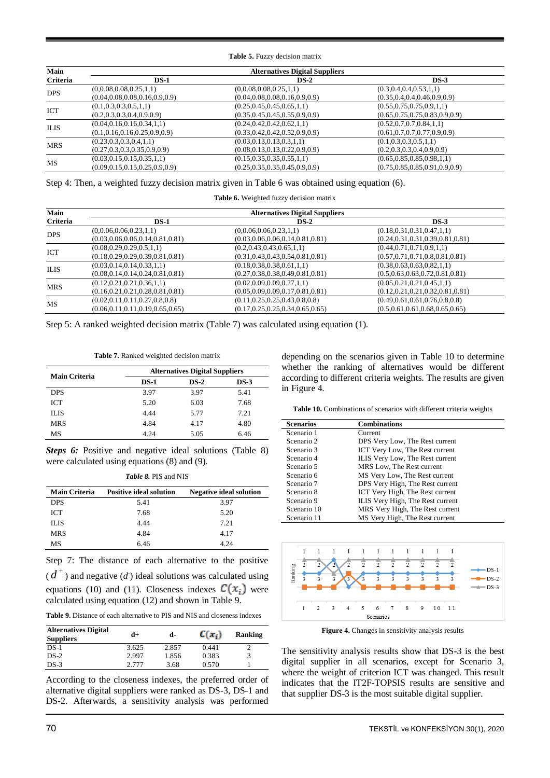**Table 5.** Fuzzy decision matrix

| Main        |                                    | <b>Alternatives Digital Suppliers</b> |                                    |
|-------------|------------------------------------|---------------------------------------|------------------------------------|
| Criteria    | $DS-1$                             | $DS-2$                                | $DS-3$                             |
| <b>DPS</b>  | (0,0.08,0.08,0.25,1,1)             | (0,0.08,0.08,0.25,1,1)                | (0.3, 0.4, 0.4, 0.53, 1, 1)        |
|             | (0.04, 0.08, 0.08, 0.16, 0.9, 0.9) | (0.04, 0.08, 0.08, 0.16, 0.9, 0.9)    | (0.35, 0.4, 0.4, 0.46, 0.9, 0.9)   |
|             | (0.1, 0.3, 0.3, 0.5, 1, 1)         | (0.25, 0.45, 0.45, 0.65, 1, 1)        | (0.55, 0.75, 0.75, 0.9, 1, 1)      |
| ICT         | (0.2, 0.3, 0.3, 0.4, 0.9, 0.9)     | (0.35, 0.45, 0.45, 0.55, 0.9, 0.9)    | (0.65, 0.75, 0.75, 0.83, 0.9, 0.9) |
| <b>ILIS</b> | (0.04, 0.16, 0.16, 0.34, 1, 1)     | (0.24, 0.42, 0.42, 0.62, 1, 1)        | (0.52, 0.7, 0.7, 0.84, 1, 1)       |
|             | (0.1, 0.16, 0.16, 0.25, 0.9, 0.9)  | (0.33, 0.42, 0.42, 0.52, 0.9, 0.9)    | (0.61, 0.7, 0.7, 0.77, 0.9, 0.9)   |
| <b>MRS</b>  | (0.23, 0.3, 0.3, 0.4, 1, 1)        | (0.03, 0.13, 0.13, 0.3, 1, 1)         | (0.1, 0.3, 0.3, 0.5, 1, 1)         |
|             | (0.27, 0.3, 0.3, 0.35, 0.9, 0.9)   | (0.08, 0.13, 0.13, 0.22, 0.9, 0.9)    | (0.2, 0.3, 0.3, 0.4, 0.9, 0.9)     |
| MS          | (0.03, 0.15, 0.15, 0.35, 1, 1)     | (0.15, 0.35, 0.35, 0.55, 1, 1)        | (0.65, 0.85, 0.85, 0.98, 1, 1)     |
|             | (0.09, 0.15, 0.15, 0.25, 0.9, 0.9) | (0.25, 0.35, 0.35, 0.45, 0.9, 0.9)    | (0.75, 0.85, 0.85, 0.91, 0.9, 0.9) |

Step 4: Then, a weighted fuzzy decision matrix given in Table 6 was obtained using equation (6).

| Table 6. Weighted fuzzy decision matrix |  |  |
|-----------------------------------------|--|--|
|                                         |  |  |

| Main        |                                      | <b>Alternatives Digital Suppliers</b> |                                      |
|-------------|--------------------------------------|---------------------------------------|--------------------------------------|
| Criteria    | $DS-1$                               | $DS-2$                                | $DS-3$                               |
| <b>DPS</b>  | (0,0.06,0.06,0.23,1,1)               | (0,0.06,0.06,0.23,1,1)                | (0.18, 0.31, 0.31, 0.47, 1, 1)       |
|             | (0.03, 0.06, 0.06, 0.14, 0.81, 0.81) | (0.03, 0.06, 0.06, 0.14, 0.81, 0.81)  | (0.24, 0.31, 0.31, 0.39, 0.81, 0.81) |
|             | (0.08, 0.29, 0.29, 0.5, 1, 1)        | (0.2, 0.43, 0.43, 0.65, 1, 1)         | (0.44, 0.71, 0.71, 0.9, 1, 1)        |
| ICT         | (0.18, 0.29, 0.29, 0.39, 0.81, 0.81) | (0.31, 0.43, 0.43, 0.54, 0.81, 0.81)  | (0.57, 0.71, 0.71, 0.8, 0.81, 0.81)  |
|             | (0.03, 0.14, 0.14, 0.33, 1, 1)       | (0.18, 0.38, 0.38, 0.61, 1, 1)        | (0.38, 0.63, 0.63, 0.82, 1, 1)       |
| <b>ILIS</b> | (0.08, 0.14, 0.14, 0.24, 0.81, 0.81) | (0.27, 0.38, 0.38, 0.49, 0.81, 0.81)  | (0.5, 0.63, 0.63, 0.72, 0.81, 0.81)  |
|             | (0.12, 0.21, 0.21, 0.36, 1, 1)       | (0.02, 0.09, 0.09, 0.27, 1, 1)        | (0.05, 0.21, 0.21, 0.45, 1, 1)       |
| <b>MRS</b>  | (0.16, 0.21, 0.21, 0.28, 0.81, 0.81) | (0.05, 0.09, 0.09, 0.17, 0.81, 0.81)  | (0.12, 0.21, 0.21, 0.32, 0.81, 0.81) |
|             | (0.02, 0.11, 0.11, 0.27, 0.8, 0.8)   | (0.11, 0.25, 0.25, 0.43, 0.8, 0.8)    | (0.49, 0.61, 0.61, 0.76, 0.8, 0.8)   |
| МS          | (0.06, 0.11, 0.11, 0.19, 0.65, 0.65) | (0.17, 0.25, 0.25, 0.34, 0.65, 0.65)  | (0.5, 0.61, 0.61, 0.68, 0.65, 0.65)  |

Step 5: A ranked weighted decision matrix (Table 7) was calculated using equation (1).

**Table 7.** Ranked weighted decision matrix

| <b>Main Criteria</b> | <b>Alternatives Digital Suppliers</b> |        |        |  |  |
|----------------------|---------------------------------------|--------|--------|--|--|
|                      | $DS-1$                                | $DS-2$ | $DS-3$ |  |  |
| <b>DPS</b>           | 3.97                                  | 3.97   | 5.41   |  |  |
| <b>ICT</b>           | 5.20                                  | 6.03   | 7.68   |  |  |
| <b>ILIS</b>          | 4.44                                  | 5.77   | 7.21   |  |  |
| <b>MRS</b>           | 4.84                                  | 4.17   | 4.80   |  |  |
| MS                   | 4.24                                  | 5.05   | 6.46   |  |  |

*Steps 6:* Positive and negative ideal solutions (Table 8) were calculated using equations (8) and (9).

*Table 8.* PIS and NIS

| <b>Main Criteria</b> | <b>Positive ideal solution</b> | <b>Negative ideal solution</b> |
|----------------------|--------------------------------|--------------------------------|
| <b>DPS</b>           | 5.41                           | 3.97                           |
| <b>ICT</b>           | 7.68                           | 5.20                           |
| ILIS                 | 4 4 4                          | 7.21                           |
| <b>MRS</b>           | 4.84                           | 4.17                           |
| МS                   | 6.46                           | 4.24                           |

Step 7: The distance of each alternative to the positive

 $(d^+)$  and negative  $(d)$  ideal solutions was calculated using equations (10) and (11). Closeness indexes  $C(x_i)$  were calculated using equation (12) and shown in Table 9.

**Table 9.** Distance of each alternative to PIS and NIS and closeness indexes

| <b>Alternatives Digital</b><br><b>Suppliers</b> | d+    | d-    | $C(x_i)$ | Ranking |
|-------------------------------------------------|-------|-------|----------|---------|
| $DS-1$                                          | 3.625 | 2.857 | 0.441    |         |
| $DS-2$                                          | 2.997 | 1.856 | 0.383    |         |
| $DS-3$                                          | 2.777 | 3.68  | 0.570    |         |

According to the closeness indexes, the preferred order of alternative digital suppliers were ranked as DS-3, DS-1 and DS-2. Afterwards, a sensitivity analysis was performed

depending on the scenarios given in Table 10 to determine whether the ranking of alternatives would be different according to different criteria weights. The results are given in Figure 4.

**Table 10.** Combinations of scenarios with different criteria weights

| <b>Scenarios</b> | <b>Combinations</b>              |
|------------------|----------------------------------|
| Scenario 1       | Current                          |
| Scenario 2       | DPS Very Low, The Rest current   |
| Scenario 3       | ICT Very Low, The Rest current   |
| Scenario 4       | ILIS Very Low, The Rest current  |
| Scenario 5       | MRS Low, The Rest current        |
| Scenario 6       | MS Very Low, The Rest current    |
| Scenario 7       | DPS Very High, The Rest current  |
| Scenario 8       | ICT Very High, The Rest current  |
| Scenario 9       | ILIS Very High, The Rest current |
| Scenario 10      | MRS Very High, The Rest current  |
| Scenario 11      | MS Very High, The Rest current   |



**Figure 4.** Changes in sensitivity analysis results

The sensitivity analysis results show that DS-3 is the best digital supplier in all scenarios, except for Scenario 3, where the weight of criterion ICT was changed. This result indicates that the IT2F-TOPSIS results are sensitive and that supplier DS-3 is the most suitable digital supplier.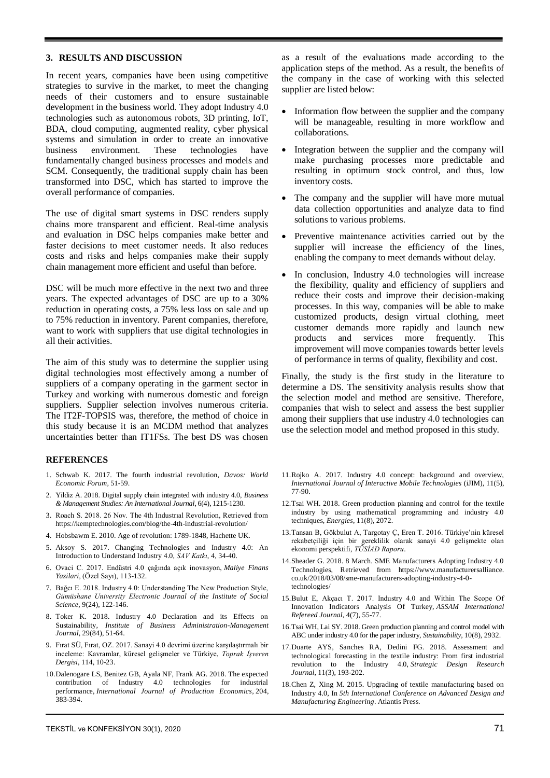## **3. RESULTS AND DISCUSSION**

In recent years, companies have been using competitive strategies to survive in the market, to meet the changing needs of their customers and to ensure sustainable development in the business world. They adopt Industry 4.0 technologies such as autonomous robots, 3D printing, IoT, BDA, cloud computing, augmented reality, cyber physical systems and simulation in order to create an innovative business environment. These technologies have fundamentally changed business processes and models and SCM. Consequently, the traditional supply chain has been transformed into DSC, which has started to improve the overall performance of companies.

The use of digital smart systems in DSC renders supply chains more transparent and efficient. Real-time analysis and evaluation in DSC helps companies make better and faster decisions to meet customer needs. It also reduces costs and risks and helps companies make their supply chain management more efficient and useful than before.

DSC will be much more effective in the next two and three years. The expected advantages of DSC are up to a 30% reduction in operating costs, a 75% less loss on sale and up to 75% reduction in inventory. Parent companies, therefore, want to work with suppliers that use digital technologies in all their activities.

The aim of this study was to determine the supplier using digital technologies most effectively among a number of suppliers of a company operating in the garment sector in Turkey and working with numerous domestic and foreign suppliers. Supplier selection involves numerous criteria. The IT2F-TOPSIS was, therefore, the method of choice in this study because it is an MCDM method that analyzes uncertainties better than IT1FSs. The best DS was chosen

# **REFERENCES**

- 1. Schwab K. 2017. The fourth industrial revolution, *Davos: World Economic Forum*, 51-59.
- 2. Yildiz A. 2018. Digital supply chain integrated with industry 4.0, *Business & Management Studies: An International Journal*, 6(4), 1215-1230.
- 3. Roach S. 2018. 26 Nov. The 4th Industrıal Revolution, Retrieved from https://kemptechnologies.com/blog/the-4th-industrial-revolution/
- 4. Hobsbawm E. 2010. Age of revolution: 1789-1848, Hachette UK.
- 5. Aksoy S. 2017. Changing Technologies and Industry 4.0: An Introduction to Understand Industry 4.0, *SAV Katkı*, 4, 34-40.
- 6. Ovaci C. 2017. Endüstri 4.0 çağında açık inovasyon, *Maliye Finans Yazilari*, (Özel Sayı), 113-132.
- 7. Bağcı E. 2018. Industry 4.0: Understanding The New Production Style, *Gümüshane University Electronic Journal of the Institute of Social Science*, 9(24), 122-146.
- 8. Toker K. 2018. Industry 4.0 Declaration and its Effects on Sustainability, *Institute of Business Administration-Management Journal*, 29(84), 51-64.
- 9. Fırat SÜ, Fırat, OZ. 2017. Sanayi 4.0 devrimi üzerine karşılaştırmalı bir inceleme: Kavramlar, küresel gelişmeler ve Türkiye, *Toprak İşveren Dergisi*, 114, 10-23.
- 10.Dalenogare LS, Benitez GB, Ayala NF, Frank AG. 2018. The expected contribution of Industry 4.0 technologies for industrial performance, *International Journal of Production Economics*, 204, 383-394.

as a result of the evaluations made according to the application steps of the method. As a result, the benefits of the company in the case of working with this selected supplier are listed below:

- Information flow between the supplier and the company will be manageable, resulting in more workflow and collaborations.
- Integration between the supplier and the company will make purchasing processes more predictable and resulting in optimum stock control, and thus, low inventory costs.
- The company and the supplier will have more mutual data collection opportunities and analyze data to find solutions to various problems.
- Preventive maintenance activities carried out by the supplier will increase the efficiency of the lines, enabling the company to meet demands without delay.
- In conclusion, Industry 4.0 technologies will increase the flexibility, quality and efficiency of suppliers and reduce their costs and improve their decision-making processes. In this way, companies will be able to make customized products, design virtual clothing, meet customer demands more rapidly and launch new products and services more frequently. This improvement will move companies towards better levels of performance in terms of quality, flexibility and cost.

Finally, the study is the first study in the literature to determine a DS. The sensitivity analysis results show that the selection model and method are sensitive. Therefore, companies that wish to select and assess the best supplier among their suppliers that use industry 4.0 technologies can use the selection model and method proposed in this study.

- 11.Rojko A. 2017. Industry 4.0 concept: background and overview, *International Journal of Interactive Mobile Technologies* (iJIM), 11(5), 77-90.
- 12.Tsai WH. 2018. Green production planning and control for the textile industry by using mathematical programming and industry 4.0 techniques, *Energies*, 11(8), 2072.
- 13.Tansan B, Gökbulut A, Targotay Ç, Eren T. 2016. Türkiye'nin küresel rekabetçiliği için bir gereklilik olarak sanayi 4.0 gelişmekte olan ekonomi perspektifi, *TÜSİAD Raporu*.
- 14.Sheader G. 2018. 8 March. SME Manufacturers Adopting Industry 4.0 Technologies, Retrieved from https://www.manufacturersalliance. co.uk/2018/03/08/sme-manufacturers-adopting-industry-4-0 technologies/
- 15.Bulut E, Akçacı T. 2017. Industry 4.0 and Within The Scope Of Innovation Indicators Analysis Of Turkey, *ASSAM International Refereed Journal*, 4(7), 55-77.
- 16.Tsai WH, Lai SY. 2018. Green production planning and control model with ABC under industry 4.0 for the paper industry, *Sustainability*, 10(8), 2932.
- 17.Duarte AYS, Sanches RA, Dedini FG. 2018. Assessment and technological forecasting in the textile industry: From first industrial revolution to the Industry 4.0, *Strategic Design Research Journal*, 11(3), 193-202.
- 18.Chen Z, Xing M. 2015. Upgrading of textile manufacturing based on Industry 4.0, In *5th International Conference on Advanced Design and Manufacturing Engineering*. Atlantis Press.